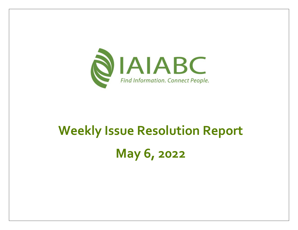

# **Weekly Issue Resolution Report May 6, 2022**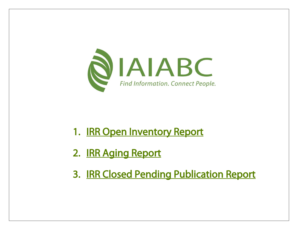

- 1. **[IRR Open Inventory Report](#page-3-0)**
- 2. [IRR Aging Report](#page-5-0)
- 3. [IRR Closed Pending Publication Report](#page-7-0)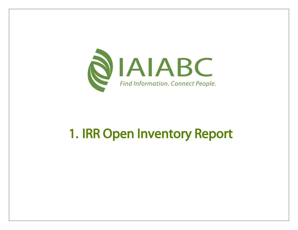

## 1. IRR Open Inventory Report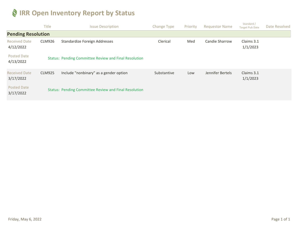#### <span id="page-3-0"></span>**IRR Open Inventory Report by Status**

|                                   | <b>Title</b>  | <b>Issue Description</b>                                     | <b>Change Type</b> | Priority | <b>Requestor Name</b> | Standard /<br><b>Target Pub Date</b> | Date Resolved |
|-----------------------------------|---------------|--------------------------------------------------------------|--------------------|----------|-----------------------|--------------------------------------|---------------|
| <b>Pending Resolution</b>         |               |                                                              |                    |          |                       |                                      |               |
| <b>Received Date</b><br>4/12/2022 | <b>CLM926</b> | Standardize Foreign Addresses                                | Clerical           | Med      | Candie Sharrow        | Claims 3.1<br>1/1/2023               |               |
| <b>Posted Date</b><br>4/13/2022   |               | <b>Status: Pending Committee Review and Final Resolution</b> |                    |          |                       |                                      |               |
| <b>Received Date</b><br>3/17/2022 | <b>CLM925</b> | Include "nonbinary" as a gender option                       | Substantive        | Low      | Jennifer Bertels      | Claims 3.1<br>1/1/2023               |               |
| <b>Posted Date</b><br>3/17/2022   |               | <b>Status: Pending Committee Review and Final Resolution</b> |                    |          |                       |                                      |               |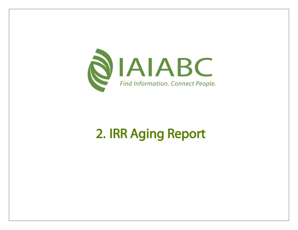

# 2. IRR Aging Report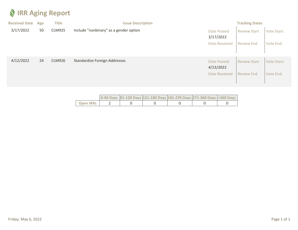#### <span id="page-5-0"></span>**IRR Aging Report**

| <b>Received Date</b> | Age | <b>Title</b>  | <b>Issue Description</b>               |                                 | <b>Tracking Dates</b> |                    |
|----------------------|-----|---------------|----------------------------------------|---------------------------------|-----------------------|--------------------|
| 3/17/2022            | 50  | <b>CLM925</b> | Include "nonbinary" as a gender option | Date Posted<br>3/17/2022        | <b>Review Start</b>   | Vote Start:        |
|                      |     |               |                                        | Date Resolved                   | <b>Review End</b>     | Vote End:          |
| 4/12/2022            | 24  | <b>CLM926</b> | Standardize Foreign Addresses          | <b>Date Posted</b><br>4/13/2022 | <b>Review Start</b>   | <b>Vote Start:</b> |
|                      |     |               |                                        | Date Resolved                   | <b>Review End</b>     | Vote End:          |

|                  |  | 0-90 Days 91-120 Days 121-180 Days 181-270 Days 271-360 Days +360 Days |  |  |
|------------------|--|------------------------------------------------------------------------|--|--|
| <b>Open IRRs</b> |  |                                                                        |  |  |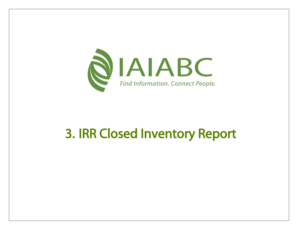

### 3. IRR Closed Inventory Report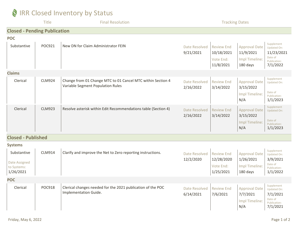#### <span id="page-7-0"></span>**IRR Closed Inventory by Status**

|                                                          | <b>Title</b>  | <b>Final Resolution</b>                                                                          | <b>Tracking Dates</b>             |                                                           |                                                                 |                                                                                     |
|----------------------------------------------------------|---------------|--------------------------------------------------------------------------------------------------|-----------------------------------|-----------------------------------------------------------|-----------------------------------------------------------------|-------------------------------------------------------------------------------------|
| <b>Closed - Pending Publication</b>                      |               |                                                                                                  |                                   |                                                           |                                                                 |                                                                                     |
| <b>POC</b><br>Substantive                                | POC921        | New DN for Claim Administrator FEIN                                                              | Date Resolved<br>9/21/2021        | <b>Review End</b><br>10/18/2021<br>Vote End:<br>11/8/2021 | <b>Approval Date</b><br>11/9/2021<br>Impl Timeline:<br>180 days | Supplement<br>Updated On:<br>11/23/2021<br>Date of<br>Publication:<br>7/1/2022      |
| <b>Claims</b>                                            |               |                                                                                                  |                                   |                                                           |                                                                 |                                                                                     |
| Clerical                                                 | <b>CLM924</b> | Change from 01 Change MTC to 01 Cancel MTC within Section 4<br>Variable Segment Population Rules | Date Resolved<br>2/16/2022        | <b>Review End</b><br>3/14/2022                            | <b>Approval Date</b><br>3/15/2022<br>Impl Timeline:<br>N/A      | Supplement<br><b>Updated On:</b><br>Date of<br>Publication:<br>1/1/2023             |
| Clerical                                                 | <b>CLM923</b> | Resolve asterisk within Edit Recommendations table (Section 4)                                   | <b>Date Resolved</b><br>2/16/2022 | <b>Review End</b><br>3/14/2022                            | <b>Approval Date</b><br>3/15/2022<br>Impl Timeline:<br>N/A      | Supplement<br><b>Updated On:</b><br>Date of<br>Publication:<br>1/1/2023             |
| <b>Closed - Published</b>                                |               |                                                                                                  |                                   |                                                           |                                                                 |                                                                                     |
| <b>Systems</b>                                           |               |                                                                                                  |                                   |                                                           |                                                                 |                                                                                     |
| Substantive<br>Date Assigned<br>to Systems:<br>1/26/2021 | <b>CLM914</b> | Clarify and improve the Net to Zero reporting instructions.                                      | Date Resolved<br>12/2/2020        | <b>Review End</b><br>12/28/2020<br>Vote End:<br>1/25/2021 | <b>Approval Date</b><br>1/26/2021<br>Impl Timeline:<br>180 days | Supplement<br>Updated On:<br>3/9/2021<br>Date of<br>Publication:<br>1/1/2022        |
| <b>POC</b>                                               |               |                                                                                                  |                                   |                                                           |                                                                 |                                                                                     |
| Clerical                                                 | <b>POC918</b> | Clerical changes needed for the 2021 publication of the POC<br>Implementation Guide.             | Date Resolved<br>6/14/2021        | <b>Review End</b><br>7/6/2021                             | <b>Approval Date</b><br>7/7/2021<br>Impl Timeline:<br>N/A       | Supplement<br><b>Updated On:</b><br>7/1/2021<br>Date of<br>Publication:<br>7/1/2021 |